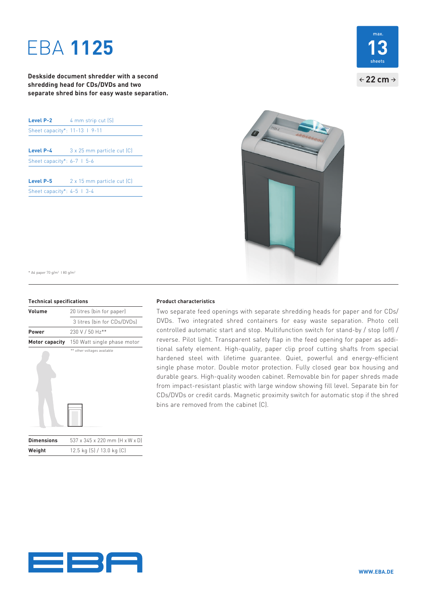# EBA **1125**

**Deskside document shredder with a second shredding head for CDs/DVDs and two separate shred bins for easy waste separation.**

| Level P-2                      | 4 mm strip cut [S]         |
|--------------------------------|----------------------------|
| Sheet capacity*: 11-13   9-11  |                            |
|                                |                            |
| Level P-4                      | 3 x 25 mm particle cut [C] |
| Sheet capacity*: $6-7$   $5-6$ |                            |
| Level P-5                      | 2 x 15 mm particle cut [C] |

Sheet capacity\*: 4-5 I 3-4





\* A4 paper 70 g/m2 I 80 g/m2

#### **Technical specifications**

| Volume            | 20 litres (bin for paper)      |
|-------------------|--------------------------------|
|                   | 3 litres (bin for CDs/DVDs)    |
| Power             | 230 V / 50 Hz**                |
| Motor capacity    | 150 Watt single phase motor    |
|                   | ** other voltages available    |
| <b>Dimensions</b> | 537 x 345 x 220 mm (H x W x D) |

**Weight** 12.5 kg (S) / 13.0 kg (C)

#### **Product characteristics**

Two separate feed openings with separate shredding heads for paper and for CDs/ DVDs. Two integrated shred containers for easy waste separation. Photo cell controlled automatic start and stop. Multifunction switch for stand-by / stop (off) / reverse. Pilot light. Transparent safety flap in the feed opening for paper as additional safety element. High-quality, paper clip proof cutting shafts from special hardened steel with lifetime guarantee. Quiet, powerful and energy-efficient single phase motor. Double motor protection. Fully closed gear box housing and durable gears. High-quality wooden cabinet. Removable bin for paper shreds made from impact-resistant plastic with large window showing fill level. Separate bin for CDs/DVDs or credit cards. Magnetic proximity switch for automatic stop if the shred bins are removed from the cabinet (C).